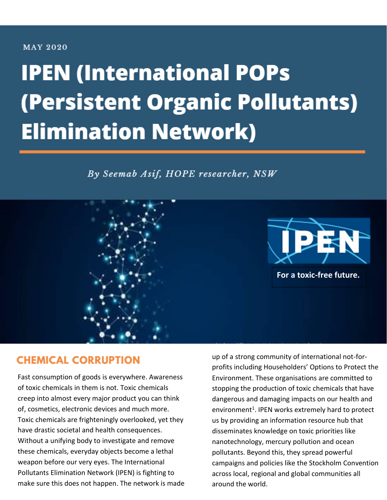#### **MAY 2020**

# **IPEN (International POPs** (Persistent Organic Pollutants) **Elimination Network)**

By Seemab Asif, HOPE researcher, NSW



### **CHEMICAL CORRUPTION**

Fast consumption of goods is everywhere. Awareness of toxic chemicals in them is not. Toxic chemicals creep into almost every major product you can think of, cosmetics, electronic devices and much more. Toxic chemicals are frighteningly overlooked, yet they have drastic societal and health consequences. Without a unifying body to investigate and remove these chemicals, everyday objects become a lethal weapon before our very eyes. The International Pollutants Elimination Network (IPEN) is fighting to make sure this does not happen. The network is made up of a strong community of international not-forprofits including Householders' Options to Protect the Environment. These organisations are committed to stopping the production of toxic chemicals that have dangerous and damaging impacts on our health and environment<sup>1</sup>. IPEN works extremely hard to protect us by providing an information resource hub that disseminates knowledge on toxic priorities like nanotechnology, mercury pollution and ocean pollutants. Beyond this, they spread powerful campaigns and policies like the Stockholm Convention across local, regional and global communities all around the world.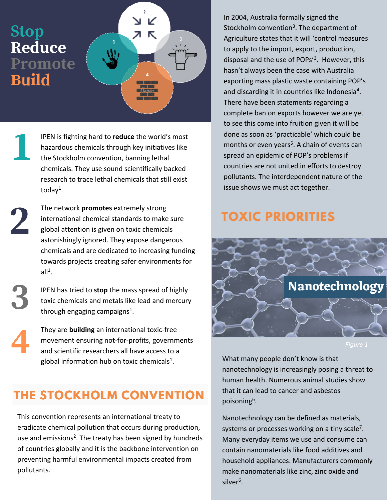# **Stop Reduce** Promote **Build**



IPEN is fighting hard to **reduce** the world's most hazardous chemicals through key initiatives like the Stockholm convention, banning lethal chemicals. They use sound scientifically backed research to trace lethal chemicals that still exist today<sup>1</sup>.

The network **promotes** extremely strong international chemical standards to make sure global attention is given on toxic chemicals astonishingly ignored. They expose dangerous chemicals and are dedicated to increasing funding towards projects creating safer environments for all $^1$ .

IPEN has tried to **stop** the mass spread of highly toxic chemicals and metals like lead and mercury through engaging campaigns<sup>1</sup>.

They are **building** an international toxic-free movement ensuring not-for-profits, governments and scientific researchers all have access to a global information hub on toxic chemicals<sup>1</sup>.

## THE STOCKHOLM CONVENTION

This convention represents an international treaty to eradicate chemical pollution that occurs during production, use and emissions<sup>2</sup>. The treaty has been signed by hundreds of countries globally and it is the backbone intervention on preventing harmful environmental impacts created from pollutants.

In 2004, Australia formally signed the Stockholm convention<sup>3</sup>. The department of Agriculture states that it will 'control measures to apply to the import, export, production, disposal and the use of POPs'<sup>3</sup>. However, this hasn't always been the case with Australia exporting mass plastic waste containing POP's and discarding it in countries like Indonesia<sup>4</sup>. There have been statements regarding a complete ban on exports however we are yet to see this come into fruition given it will be done as soon as 'practicable' which could be months or even years<sup>5</sup>. A chain of events can spread an epidemic of POP's problems if countries are not united in efforts to destroy pollutants. The interdependent nature of the issue shows we must act together.

## **TOXIC PRIORITIES**



What many people don't know is that nanotechnology is increasingly posing a threat to human health. Numerous animal studies show that it can lead to cancer and asbestos poisoning<sup>6</sup>.

Nanotechnology can be defined as materials, systems or processes working on a tiny scale<sup>7</sup>. Many everyday items we use and consume can contain nanomaterials like food additives and household appliances. Manufacturers commonly make nanomaterials like zinc, zinc oxide and silver<sup>6</sup>.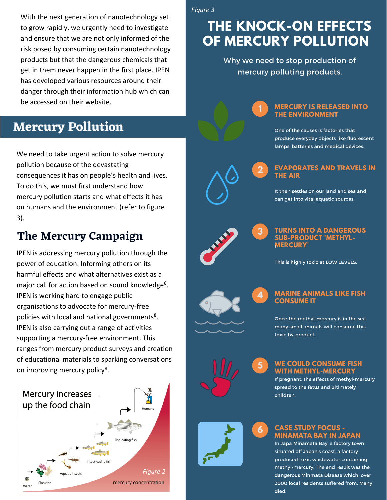With the next generation of nanotechnology set to grow rapidly, we urgently need to investigate and ensure that we are not only informed of the risk posed by consuming certain nanotechnology products but that the dangerous chemicals that get in them never happen in the first place. IPEN has developed various resources around their danger through their information hub which can be accessed on their website.

### **Mercury Pollution**

We need to take urgent action to solve mercury pollution because of the devastating consequences it has on people's health and lives. To do this, we must first understand how mercury pollution starts and what effects it has on humans and the environment (refer to figure  $3$ ).

### The Mercury Campaign

IPEN is addressing mercury pollution through the power of education. Informing others on its harmful effects and what alternatives exist as a major call for action based on sound knowledge<sup>8</sup>. IPEN is working hard to engage public organisations to advocate for mercury-free policies with local and national governments<sup>8</sup>. IPEN is also carrying out a range of activities supporting a mercury-free environment. This ranges from mercury product surveys and creation of educational materials to sparking conversations on improving mercury policy<sup>8</sup>.



Figure 3

# **THE KNOCK-ON EFFECTS** OF MERCURY POLLUTION

Why we need to stop production of mercury polluting products.

#### **MERCURY IS RELEASED INTO** THE ENVIRONMENT

One of the causes is factories that produce everyday objects like fluorescent lamps, batteries and medical devices.

# **EVAPORATES AND TRAVELS IN**

It then settles on our land and sea and can get into vital aquatic sources.



#### **TURNS INTO A DANGEROUS SUB-PRODUCT 'METHYL-MERCURY**

This is highly toxic at LOW LEVELS.

#### **MARINE ANIMALS LIKE FISH CONSUME IT**

Once the methyl-mercury is in the sea, many small animals will consume this toxic by-product.

#### **WE COULD CONSUME FISH** WITH METHYL-MERCURY

If pregnant, the effects of methyl-mercury spread to the fetus and ultimately children.



6

#### **CASE STUDY FOCUS -MINAMATA BAY IN JAPAN**

In Japa Minamata Bay, a factory town situated off Japan's coast, a factory produced toxic wastewater containing methyl-mercury. The end result was the dangerous Minmata Disease which over 2000 local residents suffered from. Many died.